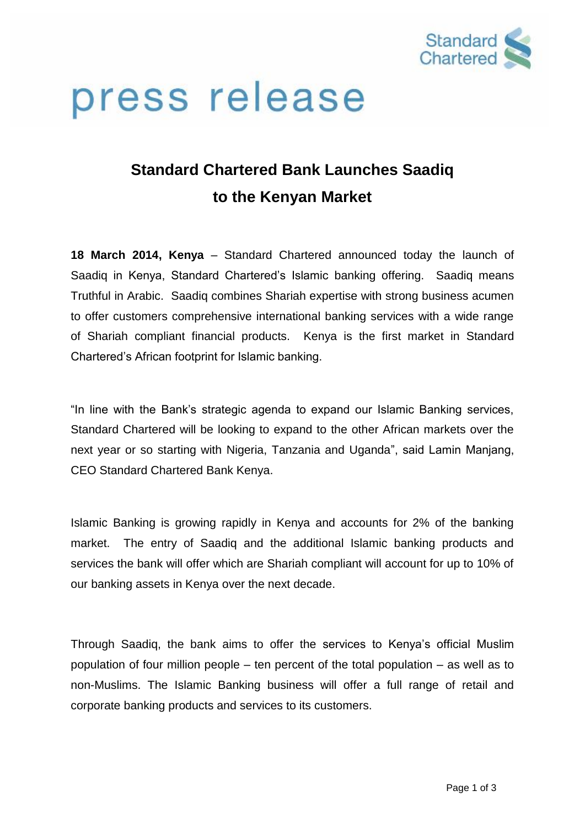

# press release

# **Standard Chartered Bank Launches Saadiq to the Kenyan Market**

**18 March 2014, Kenya** – Standard Chartered announced today the launch of Saadiq in Kenya, Standard Chartered's Islamic banking offering. Saadiq means Truthful in Arabic. Saadiq combines Shariah expertise with strong business acumen to offer customers comprehensive international banking services with a wide range of Shariah compliant financial products. Kenya is the first market in Standard Chartered's African footprint for Islamic banking.

"In line with the Bank's strategic agenda to expand our Islamic Banking services, Standard Chartered will be looking to expand to the other African markets over the next year or so starting with Nigeria, Tanzania and Uganda", said Lamin Manjang, CEO Standard Chartered Bank Kenya.

Islamic Banking is growing rapidly in Kenya and accounts for 2% of the banking market. The entry of Saadiq and the additional Islamic banking products and services the bank will offer which are Shariah compliant will account for up to 10% of our banking assets in Kenya over the next decade.

Through Saadiq, the bank aims to offer the services to Kenya's official Muslim population of four million people – ten percent of the total population – as well as to non-Muslims. The Islamic Banking business will offer a full range of retail and corporate banking products and services to its customers.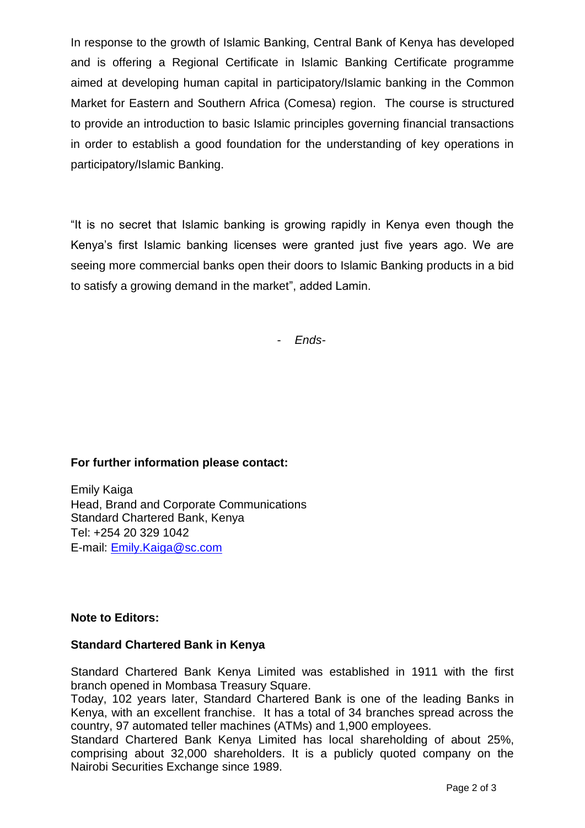In response to the growth of Islamic Banking, Central Bank of Kenya has developed and is offering a Regional Certificate in Islamic Banking Certificate programme aimed at developing human capital in participatory/Islamic banking in the Common Market for Eastern and Southern Africa (Comesa) region. The course is structured to provide an introduction to basic Islamic principles governing financial transactions in order to establish a good foundation for the understanding of key operations in participatory/Islamic Banking.

"It is no secret that Islamic banking is growing rapidly in Kenya even though the Kenya's first Islamic banking licenses were granted just five years ago. We are seeing more commercial banks open their doors to Islamic Banking products in a bid to satisfy a growing demand in the market", added Lamin.

- *Ends-*

## **For further information please contact:**

Emily Kaiga Head, Brand and Corporate Communications Standard Chartered Bank, Kenya Tel: +254 20 329 1042 E-mail: [Emily.Kaiga@sc.com](mailto:Emily.Kaiga@sc.com) 

### **Note to Editors:**

### **Standard Chartered Bank in Kenya**

Standard Chartered Bank Kenya Limited was established in 1911 with the first branch opened in Mombasa Treasury Square.

Today, 102 years later, Standard Chartered Bank is one of the leading Banks in Kenya, with an excellent franchise. It has a total of 34 branches spread across the country, 97 automated teller machines (ATMs) and 1,900 employees.

Standard Chartered Bank Kenya Limited has local shareholding of about 25%, comprising about 32,000 shareholders. It is a publicly quoted company on the Nairobi Securities Exchange since 1989.